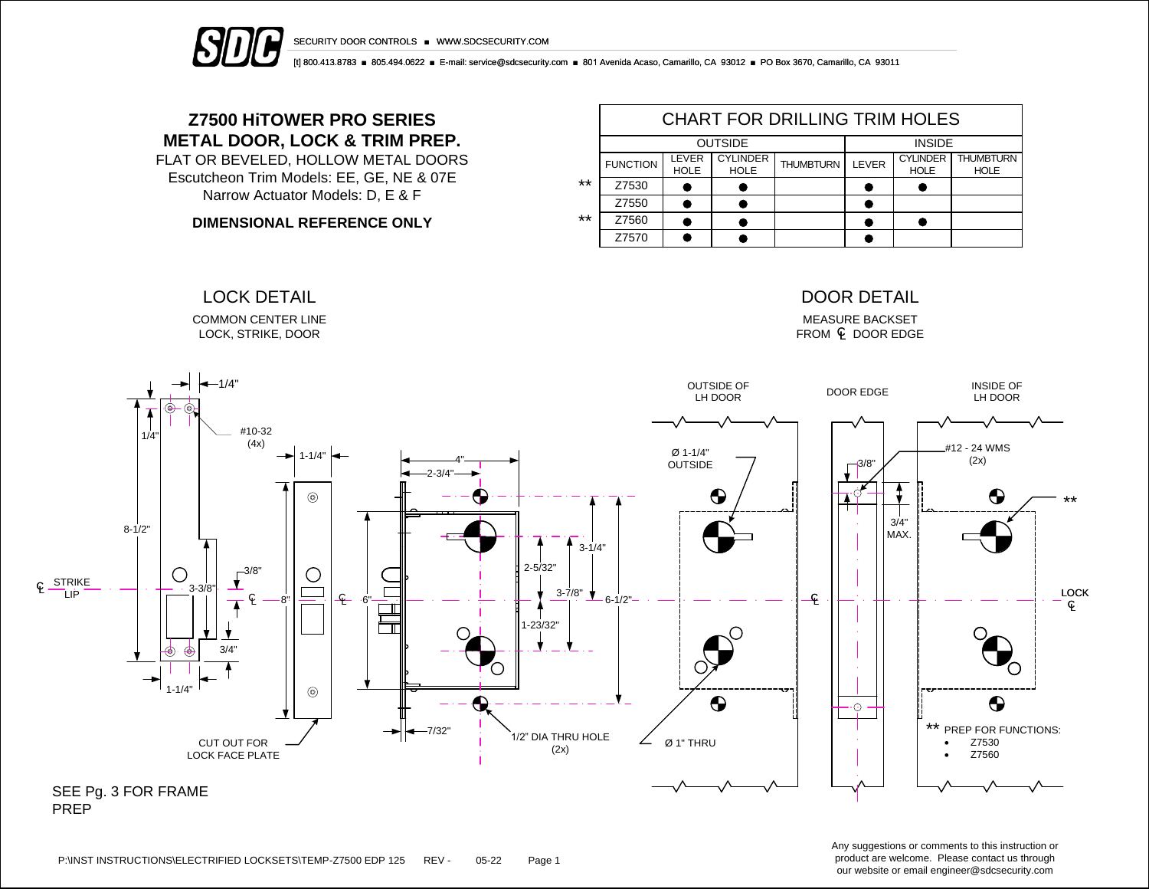



[t] 800.413.8783 ■ 805.494.0622 ■ E-mail: service@sdcsecurity.com ■ 801 Avenida Acaso, Camarillo, CA 93012 ■ PO Box 3670, Camarillo, CA 93011

# **Z7500 HiTOWER PRO SERIES METAL DOOR, LOCK & TRIM PREP.**

FLAT OR BEVELED, HOLLOW METAL DOORS Escutcheon Trim Models: EE, GE, NE & 07E Narrow Actuator Models: D, E & F

**DIMENSIONAL REFERENCE ONLY**

COMMON CENTER LINE LOCK, STRIKE, DOOR

|       | <b>CHART FOR DRILLING TRIM HOLES</b> |                      |                                |                  |       |                                |                                 |  |  |  |  |
|-------|--------------------------------------|----------------------|--------------------------------|------------------|-------|--------------------------------|---------------------------------|--|--|--|--|
|       |                                      | <b>OUTSIDE</b>       | <b>INSIDE</b>                  |                  |       |                                |                                 |  |  |  |  |
|       | <b>FUNCTION</b>                      | LEVER<br><b>HOLE</b> | <b>CYLINDER</b><br><b>HOLE</b> | <b>THUMBTURN</b> | LEVER | <b>CYLINDER</b><br><b>HOLE</b> | <b>THUMBTURN</b><br><b>HOLE</b> |  |  |  |  |
| $***$ | Z7530                                |                      |                                |                  |       |                                |                                 |  |  |  |  |
|       | Z7550                                |                      |                                |                  |       |                                |                                 |  |  |  |  |
| $***$ | Z7560                                |                      |                                |                  |       |                                |                                 |  |  |  |  |
|       | Z7570                                |                      |                                |                  |       |                                |                                 |  |  |  |  |

### LOCK DETAIL DOOR DETAIL

MEASURE BACKSET  $FROM \subseteq DOOR EDGE$ 



Any suggestions or comments to this instruction or product are welcome. Please contact us through our website or email engineer@sdcsecurity.com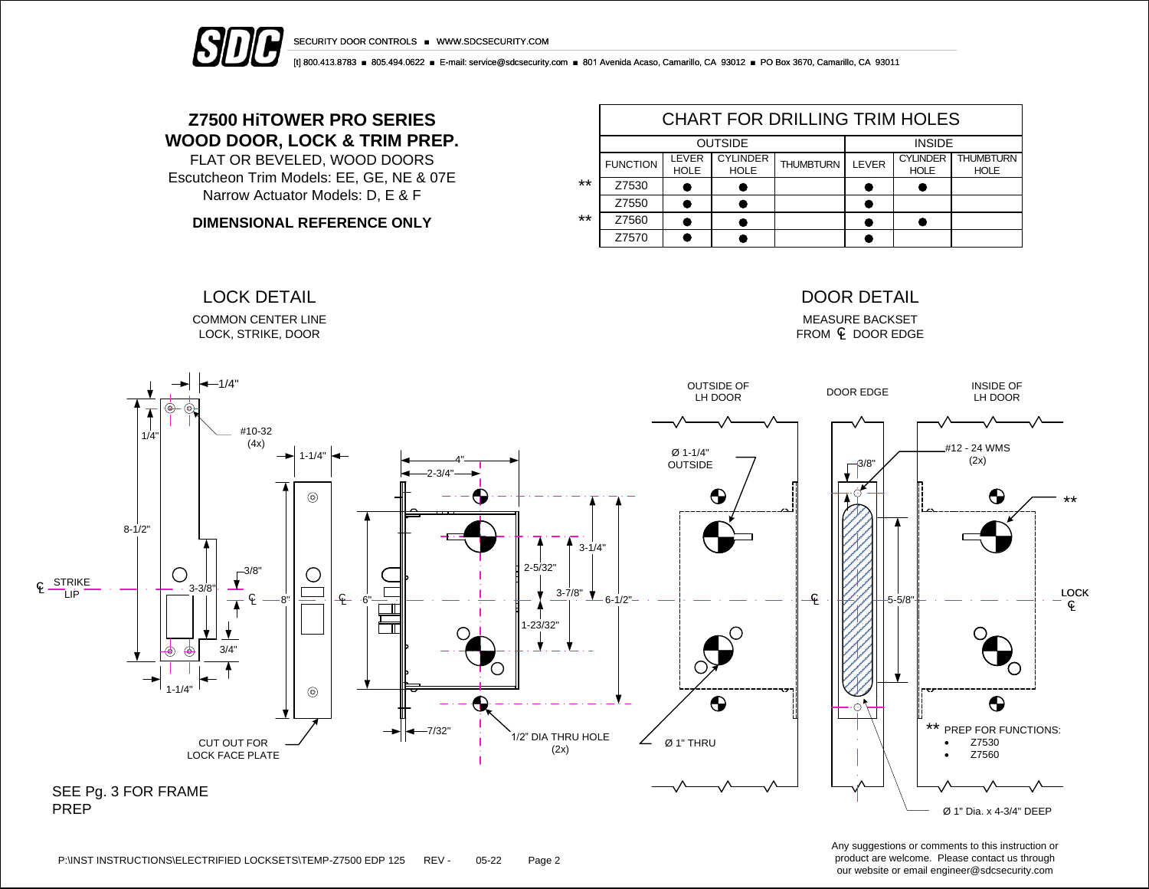



[t] 800.413.8783 ■ 805.494.0622 ■ E-mail: service@sdcsecurity.com ■ 801 Avenida Acaso, Camarillo, CA 93012 ■ PO Box 3670, Camarillo, CA 93011

# **Z7500 HiTOWER PRO SERIES WOOD DOOR, LOCK & TRIM PREP.**

FLAT OR BEVELED, WOOD DOORS Escutcheon Trim Models: EE, GE, NE & 07E Narrow Actuator Models: D, E & F

**DIMENSIONAL REFERENCE ONLY**

COMMON CENTER LINE LOCK, STRIKE, DOOR

|       | CHART FOR DRILLING TRIM HOLES |                             |                                |                  |       |                                |                                 |  |  |  |  |
|-------|-------------------------------|-----------------------------|--------------------------------|------------------|-------|--------------------------------|---------------------------------|--|--|--|--|
|       |                               | <b>OUTSIDE</b>              | <b>INSIDE</b>                  |                  |       |                                |                                 |  |  |  |  |
|       | <b>FUNCTION</b>               | <b>LEVER</b><br><b>HOLE</b> | <b>CYLINDER</b><br><b>HOLE</b> | <b>THUMBTURN</b> | LEVER | <b>CYLINDER</b><br><b>HOLE</b> | <b>THUMBTURN</b><br><b>HOLE</b> |  |  |  |  |
| **    | Z7530                         |                             |                                |                  |       |                                |                                 |  |  |  |  |
|       | Z7550                         |                             |                                |                  |       |                                |                                 |  |  |  |  |
| $***$ | Z7560                         |                             |                                |                  |       |                                |                                 |  |  |  |  |
|       | Z7570                         |                             |                                |                  |       |                                |                                 |  |  |  |  |

### LOCK DETAIL DOOR DETAIL

MEASURE BACKSET  $FROM \subseteq DOOR EDGE$ 



Any suggestions or comments to this instruction or product are welcome. Please contact us through our website or email engineer@sdcsecurity.com